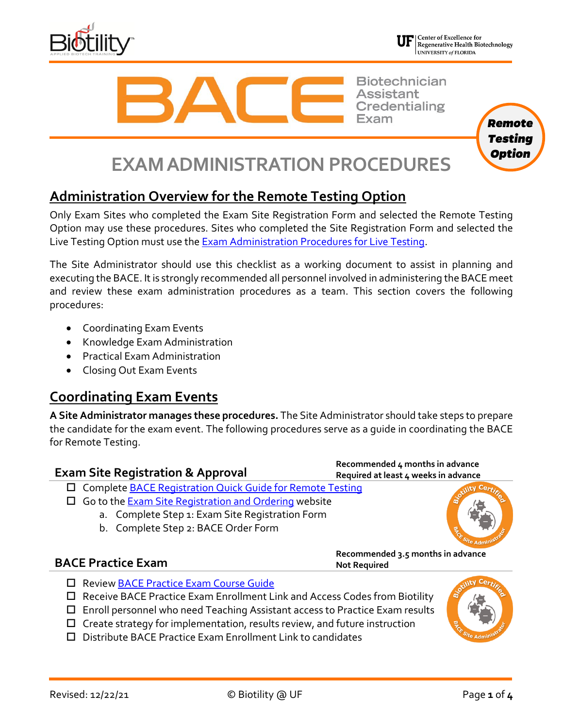



Regenerative Health Biotechnology UNIVERSITY of FLORIDA

> *Remote Testing Option*

**Biotechnician Assistant Credentialing** 

# **EXAM ADMINISTRATION PROCEDURES**

## **Administration Overview for the Remote Testing Option**

Only Exam Sites who completed the Exam Site Registration Form and selected the Remote Testing Option may use these procedures. Sites who completed the Site Registration Form and selected the Live Testing Option must use the **Exam Administration Procedures for Live Testing**.

The Site Administrator should use this checklist as a working document to assist in planning and executing the BACE. It is strongly recommended all personnel involved in administering the BACE meet and review these exam administration procedures as a team. This section covers the following procedures:

- Coordinating Exam Events
- Knowledge Exam Administration
- Practical Exam Administration
- Closing Out Exam Events

## **Coordinating Exam Events**

**A Site Administrator manages these procedures.** The Site Administrator should take steps to prepare the candidate for the exam event. The following procedures serve as a guide in coordinating the BACE for Remote Testing.

| <b>Exam Site Registration &amp; Approval</b>                       | Recommended 4 months in advance<br>Required at least 4 weeks in advance |  |  |
|--------------------------------------------------------------------|-------------------------------------------------------------------------|--|--|
| □ Complete <b>BACE Registration Quick Guide for Remote Testing</b> |                                                                         |  |  |
| $\Box$ Go to the Exam Site Registration and Ordering website       |                                                                         |  |  |
| a. Complete Step 1: Exam Site Registration Form                    |                                                                         |  |  |
| b. Complete Step 2: BACE Order Form                                |                                                                         |  |  |

### **BACE Practice Exam**

**Recommended 3.5 months in advance Not Required**

- □ Review [BACE Practice Exam Course Guide](https://biotility.research.ufl.edu/documents/practice-exam)
- $\Box$  Receive BACE Practice Exam Enrollment Link and Access Codes from Biotility
- $\Box$  Enroll personnel who need Teaching Assistant access to Practice Exam results
- $\Box$  Create strategy for implementation, results review, and future instruction
- Distribute BACE Practice Exam Enrollment Link to candidates

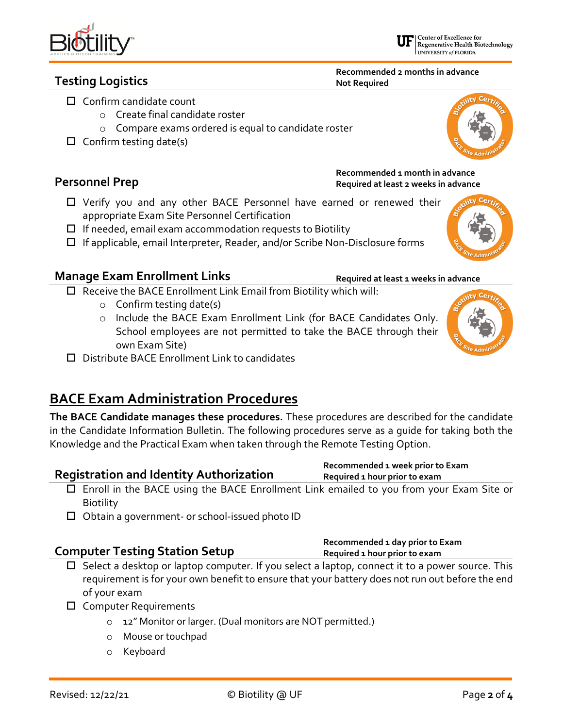### Revised: 12/22/21 © Biotility @ UF Page **2** of **4**

**Required 1 hour prior to exam**

| Regenerative Health Biotechnology<br>UNIVERSITY of FLORIDA |  |  |  |
|------------------------------------------------------------|--|--|--|
|                                                            |  |  |  |

Center of Excellence for

**Recommended 2 months in advance Not Required**

**Recommended 1 month in advance Required at least 2 weeks in advance**

- 
- o Compare exams ordered is equal to candidate roster
- $\Box$  Confirm testing date(s)

### **Personnel Prep**

- Verify you and any other BACE Personnel have earned or renewed their appropriate Exam Site Personnel Certification
- $\Box$  If needed, email exam accommodation requests to Biotility
- $\Box$  If applicable, email Interpreter, Reader, and/or Scribe Non-Disclosure forms

#### **Manage Exam Enrollment Links** Required at least 1 weeks in advance

 $\square$  Receive the BACE Enrollment Link Email from Biotility which will:

- o Confirm testing date(s)
- o Include the BACE Exam Enrollment Link (for BACE Candidates Only. School employees are not permitted to take the BACE through their own Exam Site)
- $\square$  Distribute BACE Enrollment Link to candidates

## **BACE Exam Administration Procedures**

**The BACE Candidate manages these procedures.** These procedures are described for the candidate in the Candidate Information Bulletin. The following procedures serve as a guide for taking both the Knowledge and the Practical Exam when taken through the Remote Testing Option.

#### **Registration and Identity Authorization Recommended 1 week prior to Exam Required 1 hour prior to exam**

- Enroll in the BACE using the BACE Enrollment Link emailed to you from your Exam Site or **Biotility**
- $\square$  Obtain a government- or school-issued photo ID

## **Computer Testing Station Setup Recommended 1 day prior to Exam**

- $\Box$  Select a desktop or laptop computer. If you select a laptop, connect it to a power source. This requirement is for your own benefit to ensure that your battery does not run out before the end of your exam
- □ Computer Requirements
	- o 12" Monitor or larger. (Dual monitors are NOT permitted.)
	- o Mouse or touchpad
	- o Keyboard



 $V$  Ceri





**Testing Logistics**

## $\Box$  Confirm candidate count

- o Create final candidate roster
	-
-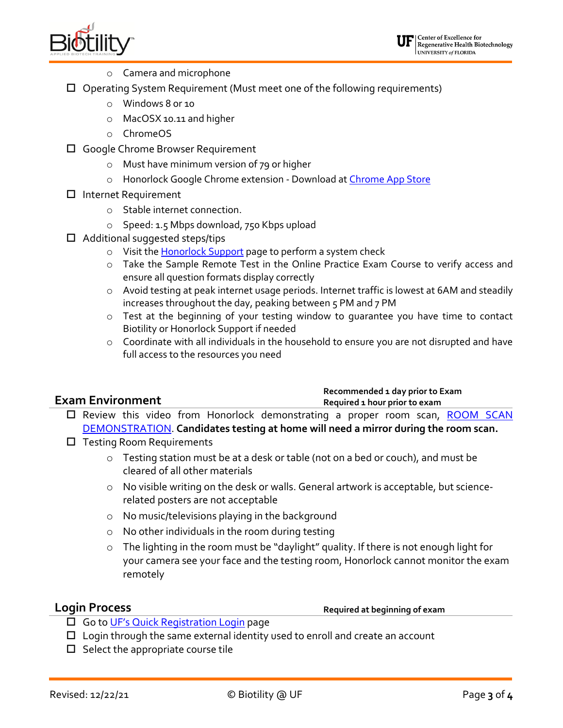

- o Camera and microphone
- $\Box$  Operating System Requirement (Must meet one of the following requirements)
	- o Windows 8 or 10
	- o MacOSX 10.11 and higher
	- o ChromeOS
- □ Google Chrome Browser Requirement
	- o Must have minimum version of 79 or higher
	- o Honorlock Google Chrome extension Download at [Chrome App Store](https://chrome.google.com/webstore/detail/honorlock/hnbmpkmhjackfpkpcbapafmpepgmmddc)
- □ Internet Requirement
	- o Stable internet connection.
	- o Speed: 1.5 Mbps download, 750 Kbps upload
- $\Box$  Additional suggested steps/tips
	- o Visit the **Honorlock Support** page to perform a system check
	- o Take the Sample Remote Test in the Online Practice Exam Course to verify access and ensure all question formats display correctly
	- o Avoid testing at peak internet usage periods. Internet traffic is lowest at 6AM and steadily increases throughout the day, peaking between 5 PM and 7 PM
	- o Test at the beginning of your testing window to guarantee you have time to contact Biotility or Honorlock Support if needed
	- o Coordinate with all individuals in the household to ensure you are not disrupted and have full access to the resources you need

|                         | Recommended 1 day prior to Exam |  |  |
|-------------------------|---------------------------------|--|--|
| <b>Exam Environment</b> | Required 1 hour prior to exam   |  |  |
|                         |                                 |  |  |

- □ Review this video from Honorlock demonstrating a proper room scan, ROOM SCAN [DEMONSTRATION.](https://www.dropbox.com/s/mlctopf9n26ha3b/RoomScan.mp4?dl=0) **Candidates testing at home will need a mirror during the room scan.**
- $\Box$  Testing Room Requirements
	- o Testing station must be at a desk or table (not on a bed or couch), and must be cleared of all other materials
	- o No visible writing on the desk or walls. General artwork is acceptable, but sciencerelated posters are not acceptable
	- o No music/televisions playing in the background
	- o No other individuals in the room during testing
	- o The lighting in the room must be "daylight" quality. If there is not enough light for your camera see your face and the testing room, Honorlock cannot monitor the exam remotely

**Login Process Required at beginning of exam** 

- □ Go to [UF's Quick Registration Login](https://reg.distance.ufl.edu/reg/Lms/Login) page
- $\Box$  Login through the same external identity used to enroll and create an account
- $\square$  Select the appropriate course tile